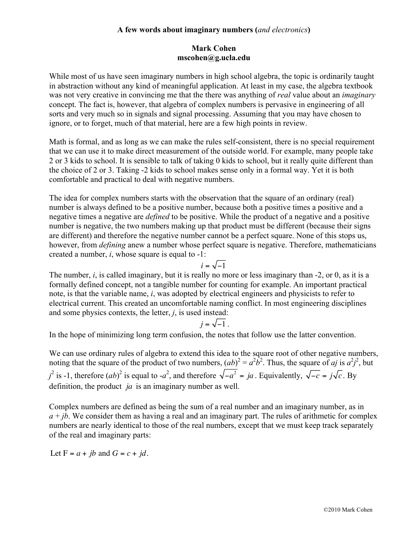## **A few words about imaginary numbers (***and electronics***)**

### **Mark Cohen mscohen@g.ucla.edu**

While most of us have seen imaginary numbers in high school algebra, the topic is ordinarily taught in abstraction without any kind of meaningful application. At least in my case, the algebra textbook was not very creative in convincing me that the there was anything of *real* value about an *imaginary* concept. The fact is, however, that algebra of complex numbers is pervasive in engineering of all sorts and very much so in signals and signal processing. Assuming that you may have chosen to ignore, or to forget, much of that material, here are a few high points in review.

Math is formal, and as long as we can make the rules self-consistent, there is no special requirement that we can use it to make direct measurement of the outside world. For example, many people take 2 or 3 kids to school. It is sensible to talk of taking 0 kids to school, but it really quite different than the choice of 2 or 3. Taking -2 kids to school makes sense only in a formal way. Yet it is both comfortable and practical to deal with negative numbers.

The idea for complex numbers starts with the observation that the square of an ordinary (real) number is always defined to be a positive number, because both a positive times a positive and a negative times a negative are *defined* to be positive. While the product of a negative and a positive number is negative, the two numbers making up that product must be different (because their signs are different) and therefore the negative number cannot be a perfect square. None of this stops us, however, from *defining* anew a number whose perfect square is negative. Therefore, mathematicians created a number, *i*, whose square is equal to -1:

$$
i=\sqrt{-1}
$$

The number, *i*, is called imaginary, but it is really no more or less imaginary than -2, or 0, as it is a formally defined concept, not a tangible number for counting for example. An important practical note, is that the variable name, *i*, was adopted by electrical engineers and physicists to refer to electrical current. This created an uncomfortable naming conflict. In most engineering disciplines and some physics contexts, the letter, *j*, is used instead:

$$
j=\sqrt{-1}.
$$

In the hope of minimizing long term confusion, the notes that follow use the latter convention.

We can use ordinary rules of algebra to extend this idea to the square root of other negative numbers, noting that the square of the product of two numbers,  $(ab)^2 = a^2b^2$ . Thus, the square of *aj* is  $a^2j^2$ , but  $j^2$  is -1, therefore  $(ab)^2$  is equal to -*a*<sup>2</sup>, and therefore  $\sqrt{-a^2} = ja$ . Equivalently,  $\sqrt{-c} = j\sqrt{c}$ . By definition, the product *ja* is an imaginary number as well.

Complex numbers are defined as being the sum of a real number and an imaginary number, as in  $a + ib$ . We consider them as having a real and an imaginary part. The rules of arithmetic for complex numbers are nearly identical to those of the real numbers, except that we must keep track separately of the real and imaginary parts:

Let  $F = a + jb$  and  $G = c + jd$ .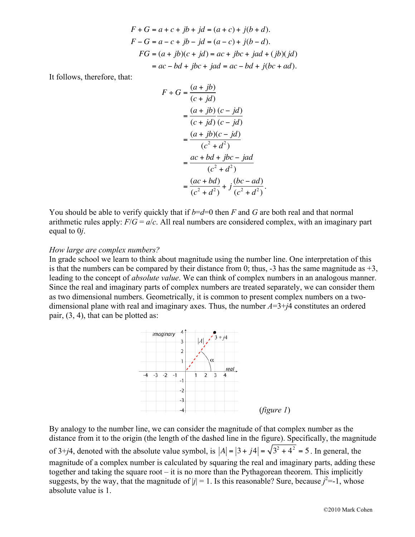$$
F + G = a + c + jb + jd = (a + c) + j(b + d).
$$
  
\n
$$
F - G = a - c + jb - jd = (a - c) + j(b - d).
$$
  
\n
$$
FG = (a + jb)(c + jd) = ac + jbc + jad + (jb)(jd)
$$
  
\n
$$
= ac - bd + jbc + jad = ac - bd + j(bc + ad).
$$

It follows, therefore, that:

$$
F \div G = \frac{(a+jb)}{(c+jd)}
$$
  
= 
$$
\frac{(a+jb)}{(c+jd)} \frac{(c-jd)}{(c-jd)}
$$
  
= 
$$
\frac{(a+jb)(c-jd)}{(c^2+d^2)}
$$
  
= 
$$
\frac{ac+bd+jbc-jad}{(c^2+d^2)}
$$
  
= 
$$
\frac{(ac+bd)}{(c^2+d^2)} + j\frac{(bc-ad)}{(c^2+d^2)}.
$$

You should be able to verify quickly that if  $b=d=0$  then *F* and *G* are both real and that normal arithmetic rules apply:  $F/G = a/c$ . All real numbers are considered complex, with an imaginary part equal to 0*j*.

#### *How large are complex numbers?*

In grade school we learn to think about magnitude using the number line. One interpretation of this is that the numbers can be compared by their distance from 0; thus,  $-3$  has the same magnitude as  $+3$ , leading to the concept of *absolute value*. We can think of complex numbers in an analogous manner. Since the real and imaginary parts of complex numbers are treated separately, we can consider them as two dimensional numbers. Geometrically, it is common to present complex numbers on a twodimensional plane with real and imaginary axes. Thus, the number *A*=3+*j*4 constitutes an ordered pair, (3, 4), that can be plotted as:



By analogy to the number line, we can consider the magnitude of that complex number as the distance from it to the origin (the length of the dashed line in the figure). Specifically, the magnitude of 3+*j*4, denoted with the absolute value symbol, is  $|A| = |3 + j4| = \sqrt{3^2 + 4^2} = 5$ . In general, the magnitude of a complex number is calculated by squaring the real and imaginary parts, adding these together and taking the square root – it is no more than the Pythagorean theorem. This implicitly suggests, by the way, that the magnitude of  $|j| = 1$ . Is this reasonable? Sure, because  $j^2 = -1$ , whose absolute value is 1.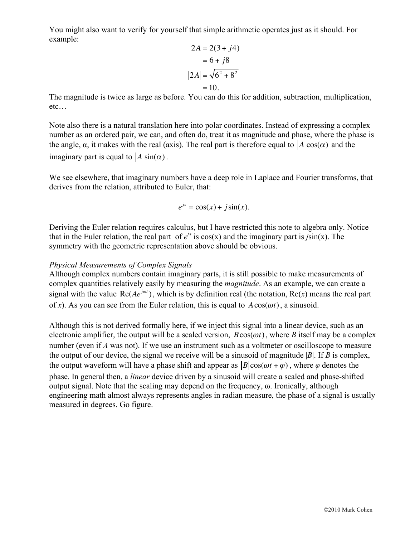You might also want to verify for yourself that simple arithmetic operates just as it should. For example:

$$
2A = 2(3+j4)
$$

$$
= 6+j8
$$

$$
|2A| = \sqrt{6^2 + 8^2}
$$

$$
= 10.
$$

The magnitude is twice as large as before. You can do this for addition, subtraction, multiplication, etc…

Note also there is a natural translation here into polar coordinates. Instead of expressing a complex number as an ordered pair, we can, and often do, treat it as magnitude and phase, where the phase is the angle,  $\alpha$ , it makes with the real (axis). The real part is therefore equal to  $|A|cos(\alpha)$  and the imaginary part is equal to  $|A|\sin(\alpha)$ .

We see elsewhere, that imaginary numbers have a deep role in Laplace and Fourier transforms, that derives from the relation, attributed to Euler, that:

$$
e^{jx} = \cos(x) + j\sin(x).
$$

Deriving the Euler relation requires calculus, but I have restricted this note to algebra only. Notice that in the Euler relation, the real part of  $e^{ix}$  is cos(x) and the imaginary part is  $j\sin(x)$ . The symmetry with the geometric representation above should be obvious.

# *Physical Measurements of Complex Signals*

Although complex numbers contain imaginary parts, it is still possible to make measurements of complex quantities relatively easily by measuring the *magnitude*. As an example, we can create a signal with the value  $\text{Re}(Ae^{j\omega t})$ , which is by definition real (the notation,  $\text{Re}(x)$  means the real part of *x*). As you can see from the Euler relation, this is equal to  $A\cos(\omega t)$ , a sinusoid.

Although this is not derived formally here, if we inject this signal into a linear device, such as an electronic amplifier, the output will be a scaled version,  $B\cos(\omega t)$ , where *B* itself may be a complex number (even if *A* was not). If we use an instrument such as a voltmeter or oscilloscope to measure the output of our device, the signal we receive will be a sinusoid of magnitude |*B*|. If *B* is complex, the output waveform will have a phase shift and appear as  $|B|cos(\omega t + \varphi)$ , where  $\varphi$  denotes the phase. In general then, a *linear* device driven by a sinusoid will create a scaled and phase-shifted output signal. Note that the scaling may depend on the frequency, ω. Ironically, although engineering math almost always represents angles in radian measure, the phase of a signal is usually measured in degrees. Go figure.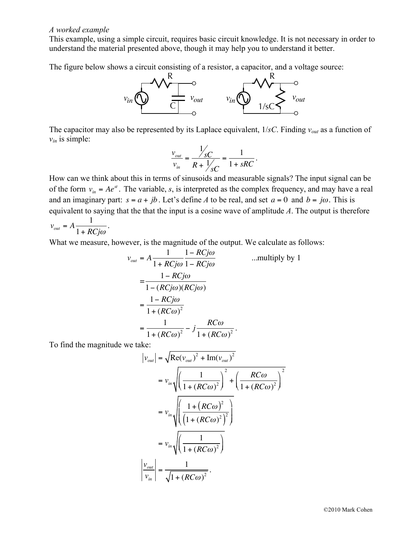#### *A worked example*

This example, using a simple circuit, requires basic circuit knowledge. It is not necessary in order to understand the material presented above, though it may help you to understand it better.

The figure below shows a circuit consisting of a resistor, a capacitor, and a voltage source:



The capacitor may also be represented by its Laplace equivalent, 1/*sC*. Finding *vout* as a function of  $v_{in}$  is simple:

$$
\frac{v_{out}}{v_{in}} = \frac{\frac{1}{sC}}{R + \frac{1}{sC}} = \frac{1}{1 + sRC}.
$$

How can we think about this in terms of sinusoids and measurable signals? The input signal can be of the form  $v_{in} = Ae^{st}$ . The variable, *s*, is interpreted as the complex frequency, and may have a real and an imaginary part:  $s = a + jb$ . Let's define *A* to be real, and set  $a = 0$  and  $b = j\omega$ . This is equivalent to saying that the that the input is a cosine wave of amplitude *A*. The output is therefore  $v_{\text{out}} = A \frac{1}{1 + B}$ .

1+ *RCj*<sup>ω</sup>

What we measure, however, is the magnitude of the output. We calculate as follows:

$$
v_{out} = A \frac{1}{1 + RCj\omega} \frac{1 - RCj\omega}{1 - RCj\omega}
$$
...multiply by 1  
= 
$$
\frac{1 - RCj\omega}{1 - (RCj\omega)(RCj\omega)}
$$
  
= 
$$
\frac{1 - RCj\omega}{1 + (RC\omega)^2}
$$
  
= 
$$
\frac{1}{1 + (RC\omega)^2} - j \frac{RC\omega}{1 + (RC\omega)^2}.
$$

To find the magnitude we take:

$$
|v_{out}| = \sqrt{\text{Re}(v_{out})^2 + \text{Im}(v_{out})^2}
$$
  
=  $v_{in} \sqrt{\left(\frac{1}{1 + (RC\omega)^2}\right)^2 + \left(\frac{RC\omega}{1 + (RC\omega)^2}\right)^2}$   
=  $v_{in} \sqrt{\left(\frac{1 + (RC\omega)^2}{(1 + (RC\omega)^2)^2}\right)}$   
=  $v_{in} \sqrt{\left(\frac{1}{1 + (RC\omega)^2}\right)^2}$   
 $\left|\frac{v_{out}}{v_{in}}\right| = \frac{1}{\sqrt{1 + (RC\omega)^2}}.$